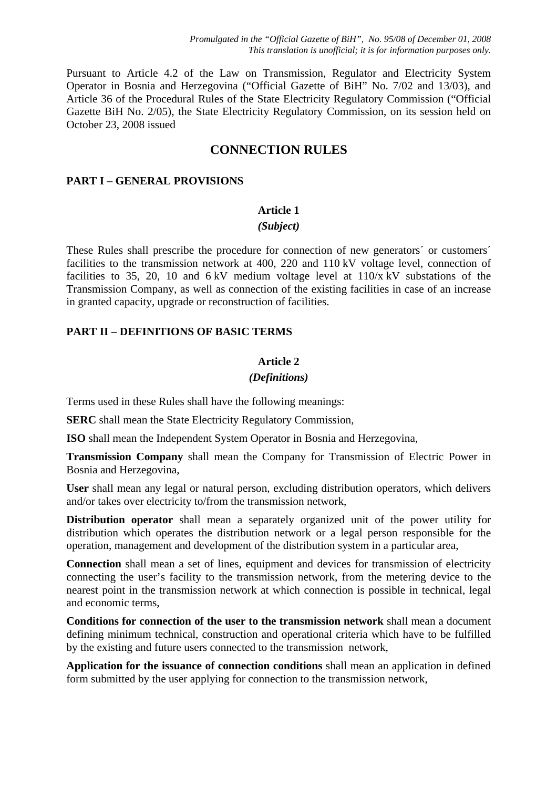Pursuant to Article 4.2 of the Law on Transmission, Regulator and Electricity System Operator in Bosnia and Herzegovina ("Official Gazette of BiH" No. 7/02 and 13/03), and Article 36 of the Procedural Rules of the State Electricity Regulatory Commission ("Official Gazette BiH No. 2/05), the State Electricity Regulatory Commission, on its session held on October 23, 2008 issued

# **CONNECTION RULES**

# **PART I – GENERAL PROVISIONS**

## **Article 1**

## *(Subject)*

These Rules shall prescribe the procedure for connection of new generators´ or customers´ facilities to the transmission network at 400, 220 and 110 kV voltage level, connection of facilities to 35, 20, 10 and  $6 \text{ kV}$  medium voltage level at  $110/x \text{ kV}$  substations of the Transmission Company, as well as connection of the existing facilities in case of an increase in granted capacity, upgrade or reconstruction of facilities.

# **PART II – DEFINITIONS OF BASIC TERMS**

## **Article 2**

## *(Definitions)*

Terms used in these Rules shall have the following meanings:

**SERC** shall mean the State Electricity Regulatory Commission,

**ISO** shall mean the Independent System Operator in Bosnia and Herzegovina,

**Transmission Company** shall mean the Company for Transmission of Electric Power in Bosnia and Herzegovina,

**User** shall mean any legal or natural person, excluding distribution operators, which delivers and/or takes over electricity to/from the transmission network,

**Distribution operator** shall mean a separately organized unit of the power utility for distribution which operates the distribution network or a legal person responsible for the operation, management and development of the distribution system in a particular area,

**Connection** shall mean a set of lines, equipment and devices for transmission of electricity connecting the user's facility to the transmission network, from the metering device to the nearest point in the transmission network at which connection is possible in technical, legal and economic terms,

**Conditions for connection of the user to the transmission network** shall mean a document defining minimum technical, construction and operational criteria which have to be fulfilled by the existing and future users connected to the transmission network,

**Application for the issuance of connection conditions** shall mean an application in defined form submitted by the user applying for connection to the transmission network,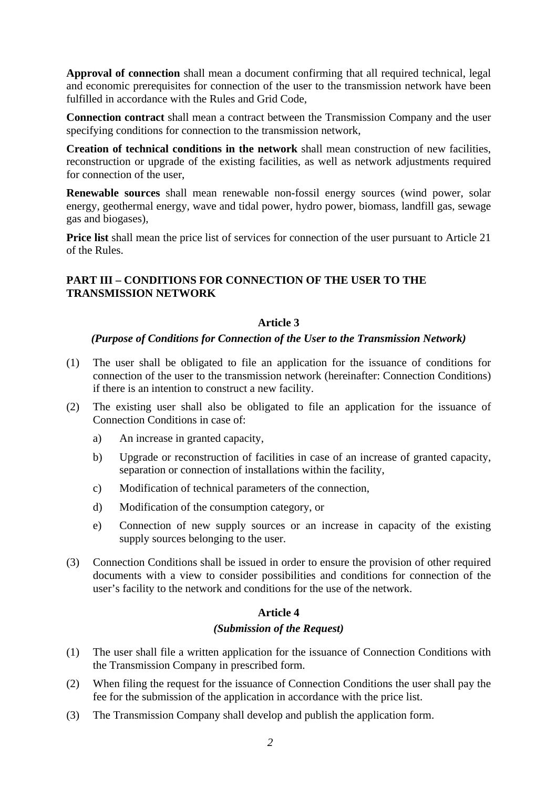**Approval of connection** shall mean a document confirming that all required technical, legal and economic prerequisites for connection of the user to the transmission network have been fulfilled in accordance with the Rules and Grid Code,

**Connection contract** shall mean a contract between the Transmission Company and the user specifying conditions for connection to the transmission network,

**Creation of technical conditions in the network** shall mean construction of new facilities, reconstruction or upgrade of the existing facilities, as well as network adjustments required for connection of the user,

**Renewable sources** shall mean renewable non-fossil energy sources (wind power, solar energy, geothermal energy, wave and tidal power, hydro power, biomass, landfill gas, sewage gas and biogases),

**Price list** shall mean the price list of services for connection of the user pursuant to Article 21 of the Rules.

# **PART III – CONDITIONS FOR CONNECTION OF THE USER TO THE TRANSMISSION NETWORK**

# **Article 3**

# *(Purpose of Conditions for Connection of the User to the Transmission Network)*

- (1) The user shall be obligated to file an application for the issuance of conditions for connection of the user to the transmission network (hereinafter: Connection Conditions) if there is an intention to construct a new facility.
- (2) The existing user shall also be obligated to file an application for the issuance of Connection Conditions in case of:
	- a) An increase in granted capacity,
	- b) Upgrade or reconstruction of facilities in case of an increase of granted capacity, separation or connection of installations within the facility,
	- c) Modification of technical parameters of the connection,
	- d) Modification of the consumption category, or
	- e) Connection of new supply sources or an increase in capacity of the existing supply sources belonging to the user.
- (3) Connection Conditions shall be issued in order to ensure the provision of other required documents with a view to consider possibilities and conditions for connection of the user's facility to the network and conditions for the use of the network.

# **Article 4**

## *(Submission of the Request)*

- (1) The user shall file a written application for the issuance of Connection Conditions with the Transmission Company in prescribed form.
- (2) When filing the request for the issuance of Connection Conditions the user shall pay the fee for the submission of the application in accordance with the price list.
- (3) The Transmission Company shall develop and publish the application form.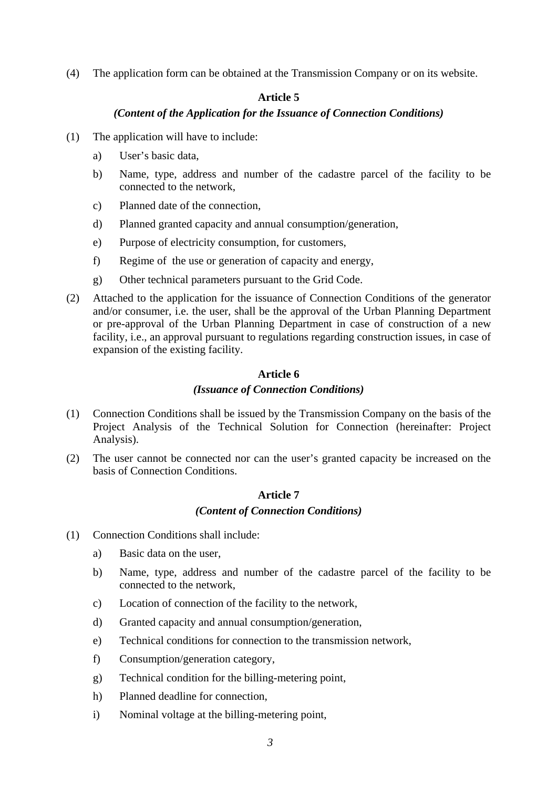(4) The application form can be obtained at the Transmission Company or on its website.

# **Article 5**

# *(Content of the Application for the Issuance of Connection Conditions)*

- (1) The application will have to include:
	- a) User's basic data,
	- b) Name, type, address and number of the cadastre parcel of the facility to be connected to the network,
	- c) Planned date of the connection,
	- d) Planned granted capacity and annual consumption/generation,
	- e) Purpose of electricity consumption, for customers,
	- f) Regime of the use or generation of capacity and energy,
	- g) Other technical parameters pursuant to the Grid Code.
- (2) Attached to the application for the issuance of Connection Conditions of the generator and/or consumer, i.e. the user, shall be the approval of the Urban Planning Department or pre-approval of the Urban Planning Department in case of construction of a new facility, i.e., an approval pursuant to regulations regarding construction issues, in case of expansion of the existing facility.

# **Article 6**

# *(Issuance of Connection Conditions)*

- (1) Connection Conditions shall be issued by the Transmission Company on the basis of the Project Analysis of the Technical Solution for Connection (hereinafter: Project Analysis).
- (2) The user cannot be connected nor can the user's granted capacity be increased on the basis of Connection Conditions.

# **Article 7**

## *(Content of Connection Conditions)*

- (1) Connection Conditions shall include:
	- a) Basic data on the user,
	- b) Name, type, address and number of the cadastre parcel of the facility to be connected to the network,
	- c) Location of connection of the facility to the network,
	- d) Granted capacity and annual consumption/generation,
	- e) Technical conditions for connection to the transmission network,
	- f) Consumption/generation category,
	- g) Technical condition for the billing-metering point,
	- h) Planned deadline for connection,
	- i) Nominal voltage at the billing-metering point,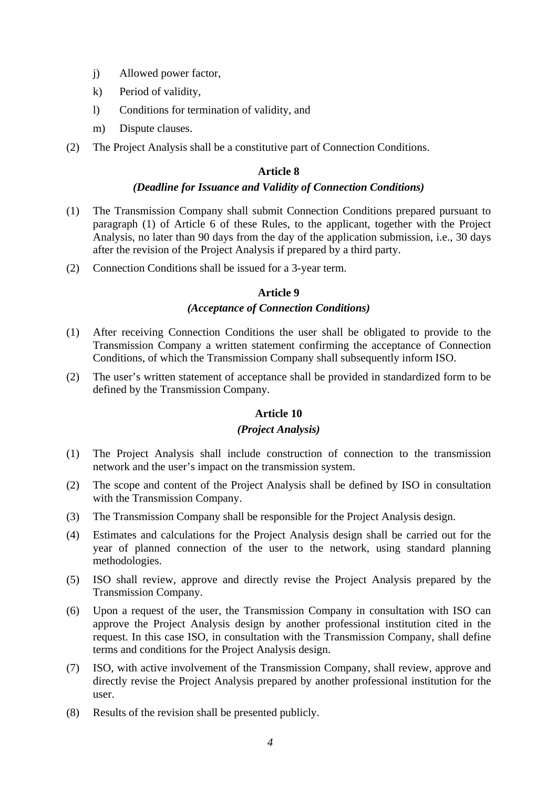- j) Allowed power factor,
- k) Period of validity,
- l) Conditions for termination of validity, and
- m) Dispute clauses.
- (2) The Project Analysis shall be a constitutive part of Connection Conditions.

## *(Deadline for Issuance and Validity of Connection Conditions)*

- (1) The Transmission Company shall submit Connection Conditions prepared pursuant to paragraph (1) of Article 6 of these Rules, to the applicant, together with the Project Analysis, no later than 90 days from the day of the application submission, i.e., 30 days after the revision of the Project Analysis if prepared by a third party.
- (2) Connection Conditions shall be issued for a 3-year term.

## **Article 9**

## *(Acceptance of Connection Conditions)*

- (1) After receiving Connection Conditions the user shall be obligated to provide to the Transmission Company a written statement confirming the acceptance of Connection Conditions, of which the Transmission Company shall subsequently inform ISO.
- (2) The user's written statement of acceptance shall be provided in standardized form to be defined by the Transmission Company.

## **Article 10**

## *(Project Analysis)*

- (1) The Project Analysis shall include construction of connection to the transmission network and the user's impact on the transmission system.
- (2) The scope and content of the Project Analysis shall be defined by ISO in consultation with the Transmission Company.
- (3) The Transmission Company shall be responsible for the Project Analysis design.
- (4) Estimates and calculations for the Project Analysis design shall be carried out for the year of planned connection of the user to the network, using standard planning methodologies.
- (5) ISO shall review, approve and directly revise the Project Analysis prepared by the Transmission Company.
- (6) Upon a request of the user, the Transmission Company in consultation with ISO can approve the Project Analysis design by another professional institution cited in the request. In this case ISO, in consultation with the Transmission Company, shall define terms and conditions for the Project Analysis design.
- (7) ISO, with active involvement of the Transmission Company, shall review, approve and directly revise the Project Analysis prepared by another professional institution for the user.
- (8) Results of the revision shall be presented publicly.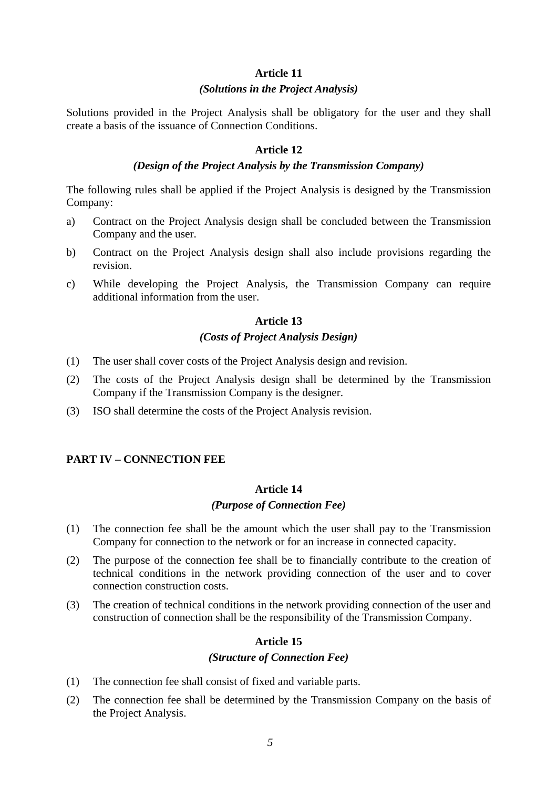#### *(Solutions in the Project Analysis)*

Solutions provided in the Project Analysis shall be obligatory for the user and they shall create a basis of the issuance of Connection Conditions.

#### **Article 12**

#### *(Design of the Project Analysis by the Transmission Company)*

The following rules shall be applied if the Project Analysis is designed by the Transmission Company:

- a) Contract on the Project Analysis design shall be concluded between the Transmission Company and the user.
- b) Contract on the Project Analysis design shall also include provisions regarding the revision.
- c) While developing the Project Analysis, the Transmission Company can require additional information from the user.

#### **Article 13**

## *(Costs of Project Analysis Design)*

- (1) The user shall cover costs of the Project Analysis design and revision.
- (2) The costs of the Project Analysis design shall be determined by the Transmission Company if the Transmission Company is the designer.
- (3) ISO shall determine the costs of the Project Analysis revision.

## **PART IV – CONNECTION FEE**

#### **Article 14**

#### *(Purpose of Connection Fee)*

- (1) The connection fee shall be the amount which the user shall pay to the Transmission Company for connection to the network or for an increase in connected capacity.
- (2) The purpose of the connection fee shall be to financially contribute to the creation of technical conditions in the network providing connection of the user and to cover connection construction costs.
- (3) The creation of technical conditions in the network providing connection of the user and construction of connection shall be the responsibility of the Transmission Company.

#### **Article 15**

#### *(Structure of Connection Fee)*

- (1) The connection fee shall consist of fixed and variable parts.
- (2) The connection fee shall be determined by the Transmission Company on the basis of the Project Analysis.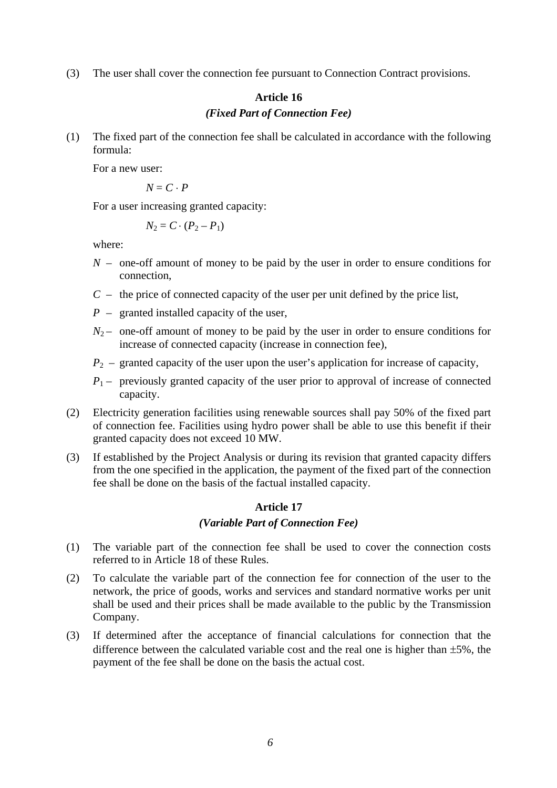(3) The user shall cover the connection fee pursuant to Connection Contract provisions.

# **Article 16**  *(Fixed Part of Connection Fee)*

(1) The fixed part of the connection fee shall be calculated in accordance with the following formula:

For a new user:

 $N = C \cdot P$ 

For a user increasing granted capacity:

$$
N_2=C\cdot (P_2-P_1)
$$

where:

- *N* one-off amount of money to be paid by the user in order to ensure conditions for connection,
- *C*  the price of connected capacity of the user per unit defined by the price list,
- *P* granted installed capacity of the user,
- $N_2$  one-off amount of money to be paid by the user in order to ensure conditions for increase of connected capacity (increase in connection fee),
- $P_2$  granted capacity of the user upon the user's application for increase of capacity,
- $P_1$  previously granted capacity of the user prior to approval of increase of connected capacity.
- (2) Electricity generation facilities using renewable sources shall pay 50% of the fixed part of connection fee. Facilities using hydro power shall be able to use this benefit if their granted capacity does not exceed 10 MW.
- (3) If established by the Project Analysis or during its revision that granted capacity differs from the one specified in the application, the payment of the fixed part of the connection fee shall be done on the basis of the factual installed capacity.

# **Article 17**  *(Variable Part of Connection Fee)*

- (1) The variable part of the connection fee shall be used to cover the connection costs referred to in Article 18 of these Rules.
- (2) To calculate the variable part of the connection fee for connection of the user to the network, the price of goods, works and services and standard normative works per unit shall be used and their prices shall be made available to the public by the Transmission Company.
- (3) If determined after the acceptance of financial calculations for connection that the difference between the calculated variable cost and the real one is higher than  $\pm 5\%$ , the payment of the fee shall be done on the basis the actual cost.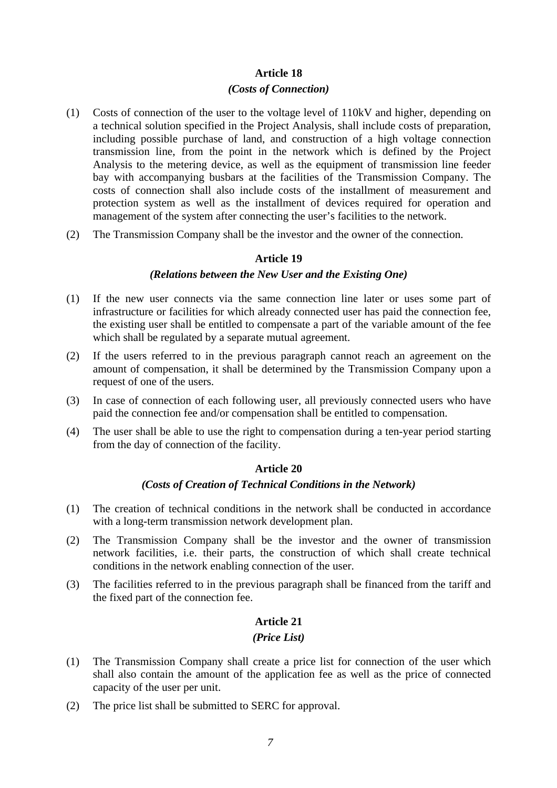#### *(Costs of Connection)*

- (1) Costs of connection of the user to the voltage level of 110kV and higher, depending on a technical solution specified in the Project Analysis, shall include costs of preparation, including possible purchase of land, and construction of a high voltage connection transmission line, from the point in the network which is defined by the Project Analysis to the metering device, as well as the equipment of transmission line feeder bay with accompanying busbars at the facilities of the Transmission Company. The costs of connection shall also include costs of the installment of measurement and protection system as well as the installment of devices required for operation and management of the system after connecting the user's facilities to the network.
- (2) The Transmission Company shall be the investor and the owner of the connection.

#### **Article 19**

#### *(Relations between the New User and the Existing One)*

- (1) If the new user connects via the same connection line later or uses some part of infrastructure or facilities for which already connected user has paid the connection fee, the existing user shall be entitled to compensate a part of the variable amount of the fee which shall be regulated by a separate mutual agreement.
- (2) If the users referred to in the previous paragraph cannot reach an agreement on the amount of compensation, it shall be determined by the Transmission Company upon a request of one of the users.
- (3) In case of connection of each following user, all previously connected users who have paid the connection fee and/or compensation shall be entitled to compensation.
- (4) The user shall be able to use the right to compensation during a ten-year period starting from the day of connection of the facility.

#### **Article 20**

#### *(Costs of Creation of Technical Conditions in the Network)*

- (1) The creation of technical conditions in the network shall be conducted in accordance with a long-term transmission network development plan.
- (2) The Transmission Company shall be the investor and the owner of transmission network facilities, i.e. their parts, the construction of which shall create technical conditions in the network enabling connection of the user.
- (3) The facilities referred to in the previous paragraph shall be financed from the tariff and the fixed part of the connection fee.

## **Article 21**

#### *(Price List)*

- (1) The Transmission Company shall create a price list for connection of the user which shall also contain the amount of the application fee as well as the price of connected capacity of the user per unit.
- (2) The price list shall be submitted to SERC for approval.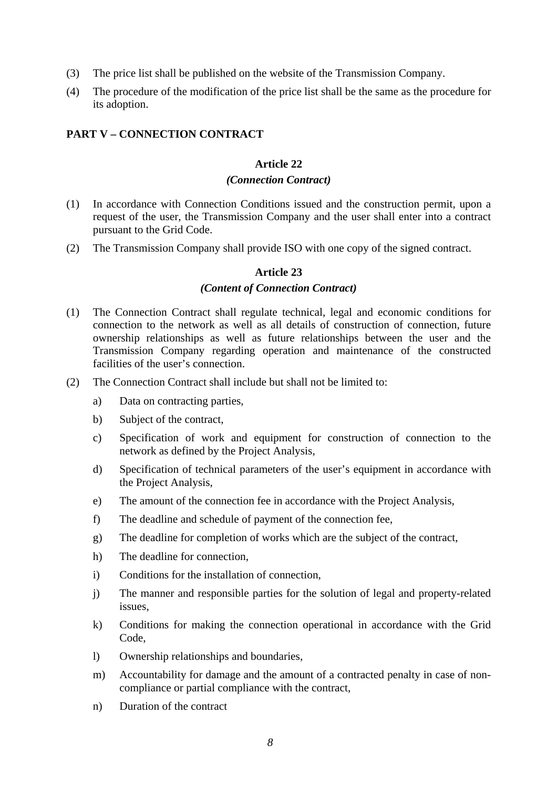- (3) The price list shall be published on the website of the Transmission Company.
- (4) The procedure of the modification of the price list shall be the same as the procedure for its adoption.

## **PART V – CONNECTION CONTRACT**

## **Article 22**

## *(Connection Contract)*

- (1) In accordance with Connection Conditions issued and the construction permit, upon a request of the user, the Transmission Company and the user shall enter into a contract pursuant to the Grid Code.
- (2) The Transmission Company shall provide ISO with one copy of the signed contract.

## **Article 23**

## *(Content of Connection Contract)*

- (1) The Connection Contract shall regulate technical, legal and economic conditions for connection to the network as well as all details of construction of connection, future ownership relationships as well as future relationships between the user and the Transmission Company regarding operation and maintenance of the constructed facilities of the user's connection.
- (2) The Connection Contract shall include but shall not be limited to:
	- a) Data on contracting parties,
	- b) Subject of the contract,
	- c) Specification of work and equipment for construction of connection to the network as defined by the Project Analysis,
	- d) Specification of technical parameters of the user's equipment in accordance with the Project Analysis,
	- e) The amount of the connection fee in accordance with the Project Analysis,
	- f) The deadline and schedule of payment of the connection fee,
	- g) The deadline for completion of works which are the subject of the contract,
	- h) The deadline for connection,
	- i) Conditions for the installation of connection,
	- j) The manner and responsible parties for the solution of legal and property-related issues,
	- k) Conditions for making the connection operational in accordance with the Grid Code,
	- l) Ownership relationships and boundaries,
	- m) Accountability for damage and the amount of a contracted penalty in case of noncompliance or partial compliance with the contract,
	- n) Duration of the contract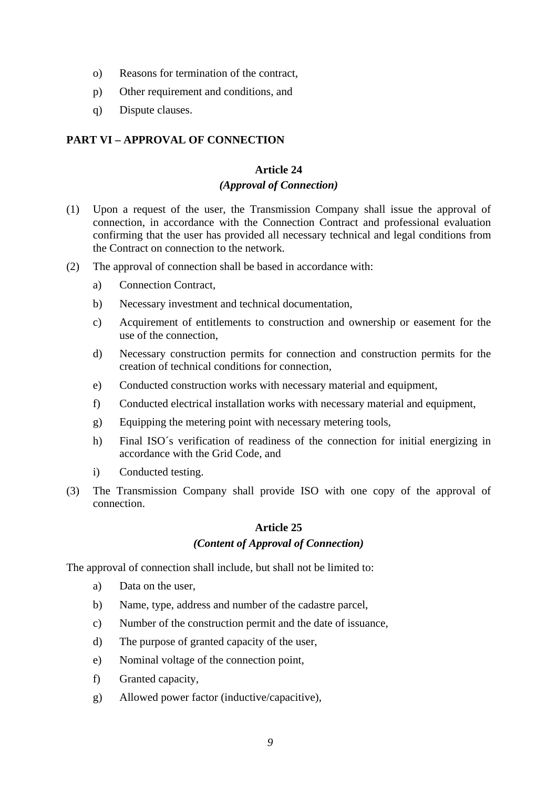- o) Reasons for termination of the contract,
- p) Other requirement and conditions, and
- q) Dispute clauses.

# **PART VI – APPROVAL OF CONNECTION**

# **Article 24**

## *(Approval of Connection)*

- (1) Upon a request of the user, the Transmission Company shall issue the approval of connection, in accordance with the Connection Contract and professional evaluation confirming that the user has provided all necessary technical and legal conditions from the Contract on connection to the network.
- (2) The approval of connection shall be based in accordance with:
	- a) Connection Contract,
	- b) Necessary investment and technical documentation,
	- c) Acquirement of entitlements to construction and ownership or easement for the use of the connection,
	- d) Necessary construction permits for connection and construction permits for the creation of technical conditions for connection,
	- e) Conducted construction works with necessary material and equipment,
	- f) Conducted electrical installation works with necessary material and equipment,
	- g) Equipping the metering point with necessary metering tools,
	- h) Final ISO´s verification of readiness of the connection for initial energizing in accordance with the Grid Code, and
	- i) Conducted testing.
- (3) The Transmission Company shall provide ISO with one copy of the approval of connection.

# **Article 25**

## *(Content of Approval of Connection)*

The approval of connection shall include, but shall not be limited to:

- a) Data on the user,
- b) Name, type, address and number of the cadastre parcel,
- c) Number of the construction permit and the date of issuance,
- d) The purpose of granted capacity of the user,
- e) Nominal voltage of the connection point,
- f) Granted capacity,
- g) Allowed power factor (inductive/capacitive),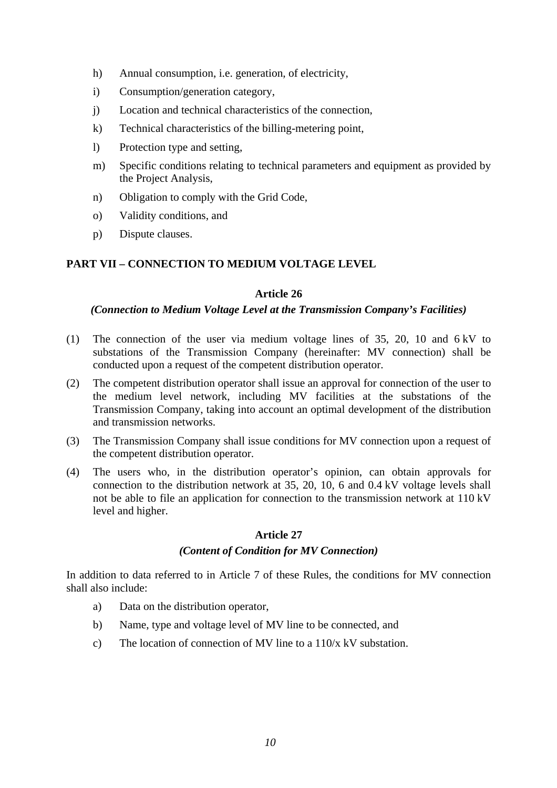- h) Annual consumption, i.e. generation, of electricity,
- i) Consumption/generation category,
- j) Location and technical characteristics of the connection,
- k) Technical characteristics of the billing-metering point,
- l) Protection type and setting,
- m) Specific conditions relating to technical parameters and equipment as provided by the Project Analysis,
- n) Obligation to comply with the Grid Code,
- o) Validity conditions, and
- p) Dispute clauses.

# **PART VII – CONNECTION TO MEDIUM VOLTAGE LEVEL**

## **Article 26**

## *(Connection to Medium Voltage Level at the Transmission Company's Facilities)*

- (1) The connection of the user via medium voltage lines of 35, 20, 10 and 6 kV to substations of the Transmission Company (hereinafter: MV connection) shall be conducted upon a request of the competent distribution operator.
- (2) The competent distribution operator shall issue an approval for connection of the user to the medium level network, including MV facilities at the substations of the Transmission Company, taking into account an optimal development of the distribution and transmission networks.
- (3) The Transmission Company shall issue conditions for MV connection upon a request of the competent distribution operator.
- (4) The users who, in the distribution operator's opinion, can obtain approvals for connection to the distribution network at 35, 20, 10, 6 and 0.4 kV voltage levels shall not be able to file an application for connection to the transmission network at 110 kV level and higher.

## **Article 27**

# *(Content of Condition for MV Connection)*

In addition to data referred to in Article 7 of these Rules, the conditions for MV connection shall also include:

- a) Data on the distribution operator,
- b) Name, type and voltage level of MV line to be connected, and
- c) The location of connection of MV line to a  $110/x$  kV substation.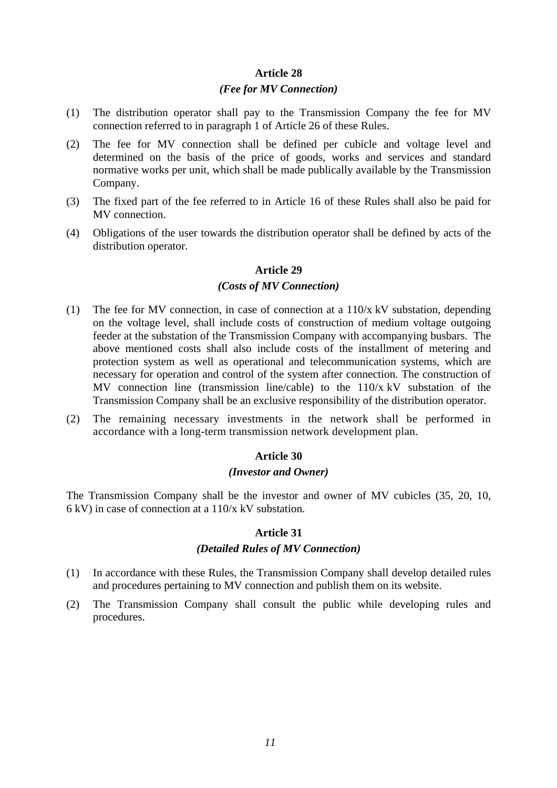#### *(Fee for MV Connection)*

- (1) The distribution operator shall pay to the Transmission Company the fee for MV connection referred to in paragraph 1 of Article 26 of these Rules.
- (2) The fee for MV connection shall be defined per cubicle and voltage level and determined on the basis of the price of goods, works and services and standard normative works per unit, which shall be made publically available by the Transmission Company.
- (3) The fixed part of the fee referred to in Article 16 of these Rules shall also be paid for MV connection.
- (4) Obligations of the user towards the distribution operator shall be defined by acts of the distribution operator.

#### **Article 29**

#### *(Costs of MV Connection)*

- (1) The fee for MV connection, in case of connection at a 110/x kV substation, depending on the voltage level, shall include costs of construction of medium voltage outgoing feeder at the substation of the Transmission Company with accompanying busbars. The above mentioned costs shall also include costs of the installment of metering and protection system as well as operational and telecommunication systems, which are necessary for operation and control of the system after connection. The construction of MV connection line (transmission line/cable) to the 110/x kV substation of the Transmission Company shall be an exclusive responsibility of the distribution operator.
- (2) The remaining necessary investments in the network shall be performed in accordance with a long-term transmission network development plan.

#### **Article 30**

#### *(Investor and Owner)*

The Transmission Company shall be the investor and owner of MV cubicles (35, 20, 10, 6 kV) in case of connection at a 110/x kV substation.

#### **Article 31**

#### *(Detailed Rules of MV Connection)*

- (1) In accordance with these Rules, the Transmission Company shall develop detailed rules and procedures pertaining to MV connection and publish them on its website.
- (2) The Transmission Company shall consult the public while developing rules and procedures.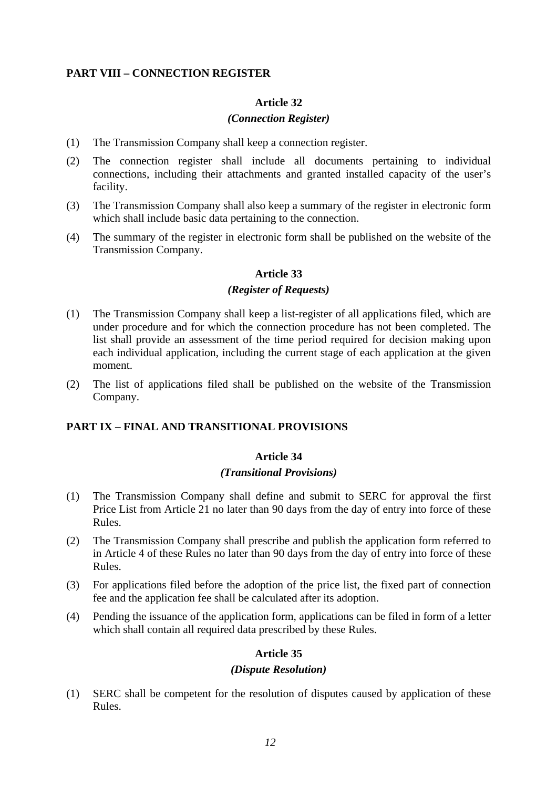# **PART VIII – CONNECTION REGISTER**

## **Article 32**

# *(Connection Register)*

- (1) The Transmission Company shall keep a connection register.
- (2) The connection register shall include all documents pertaining to individual connections, including their attachments and granted installed capacity of the user's facility.
- (3) The Transmission Company shall also keep a summary of the register in electronic form which shall include basic data pertaining to the connection.
- (4) The summary of the register in electronic form shall be published on the website of the Transmission Company.

# **Article 33**

## *(Register of Requests)*

- (1) The Transmission Company shall keep a list-register of all applications filed, which are under procedure and for which the connection procedure has not been completed. The list shall provide an assessment of the time period required for decision making upon each individual application, including the current stage of each application at the given moment.
- (2) The list of applications filed shall be published on the website of the Transmission Company.

# **PART IX – FINAL AND TRANSITIONAL PROVISIONS**

## **Article 34**

## *(Transitional Provisions)*

- (1) The Transmission Company shall define and submit to SERC for approval the first Price List from Article 21 no later than 90 days from the day of entry into force of these Rules.
- (2) The Transmission Company shall prescribe and publish the application form referred to in Article 4 of these Rules no later than 90 days from the day of entry into force of these Rules.
- (3) For applications filed before the adoption of the price list, the fixed part of connection fee and the application fee shall be calculated after its adoption.
- (4) Pending the issuance of the application form, applications can be filed in form of a letter which shall contain all required data prescribed by these Rules.

## **Article 35**

## *(Dispute Resolution)*

(1) SERC shall be competent for the resolution of disputes caused by application of these Rules.